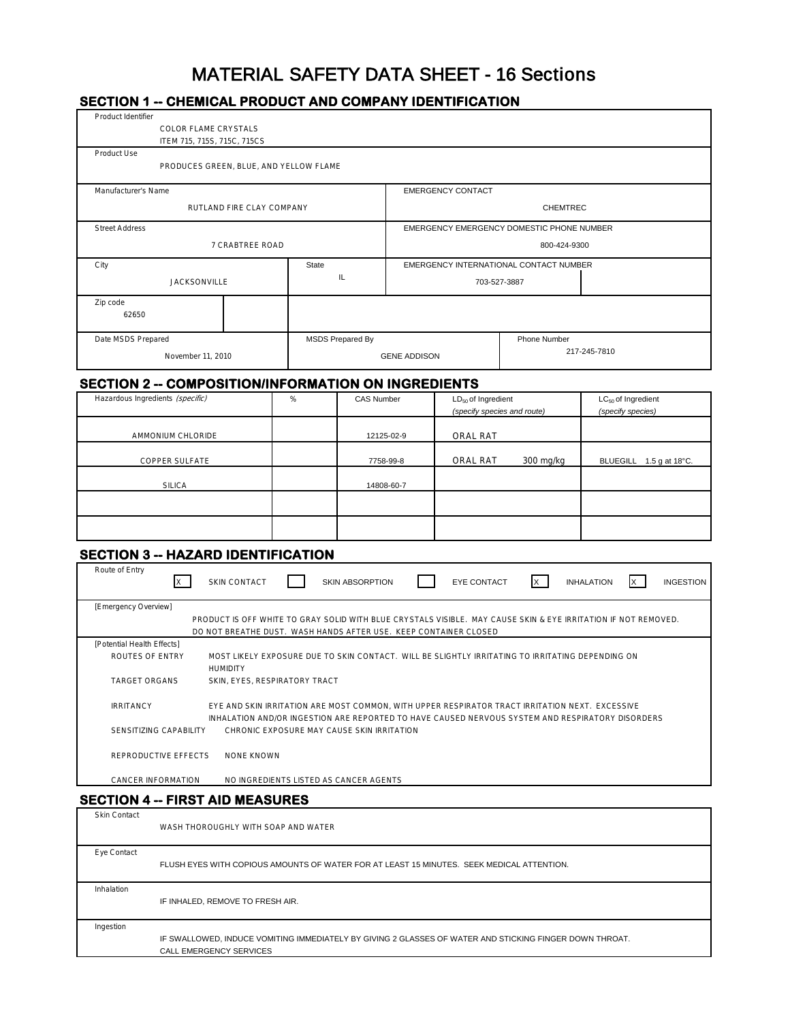# MATERIAL SAFETY DATA SHEET - 16 Sections

## **SECTION 1 -- CHEMICAL PRODUCT AND COMPANY IDENTIFICATION**

| Product Identifier<br>COLOR FLAME CRYSTALS                                                                                                      |                                                                                                                                                                                    |                          |                                                        |                                           |                                                      |
|-------------------------------------------------------------------------------------------------------------------------------------------------|------------------------------------------------------------------------------------------------------------------------------------------------------------------------------------|--------------------------|--------------------------------------------------------|-------------------------------------------|------------------------------------------------------|
| ITEM 715, 715S, 715C, 715CS                                                                                                                     |                                                                                                                                                                                    |                          |                                                        |                                           |                                                      |
| Product Use<br>PRODUCES GREEN, BLUE, AND YELLOW FLAME                                                                                           |                                                                                                                                                                                    |                          |                                                        |                                           |                                                      |
| Manufacturer's Name                                                                                                                             |                                                                                                                                                                                    | <b>EMERGENCY CONTACT</b> |                                                        |                                           |                                                      |
| RUTLAND FIRE CLAY COMPANY                                                                                                                       |                                                                                                                                                                                    |                          |                                                        | <b>CHEMTREC</b>                           |                                                      |
| <b>Street Address</b>                                                                                                                           |                                                                                                                                                                                    |                          |                                                        | EMERGENCY EMERGENCY DOMESTIC PHONE NUMBER |                                                      |
| 7 CRABTREE ROAD                                                                                                                                 |                                                                                                                                                                                    |                          |                                                        | 800-424-9300                              |                                                      |
| City                                                                                                                                            | State                                                                                                                                                                              |                          |                                                        | EMERGENCY INTERNATIONAL CONTACT NUMBER    |                                                      |
| <b>JACKSONVILLE</b>                                                                                                                             | IL.                                                                                                                                                                                |                          | 703-527-3887                                           |                                           |                                                      |
| Zip code<br>62650                                                                                                                               |                                                                                                                                                                                    |                          |                                                        |                                           |                                                      |
| Date MSDS Prepared                                                                                                                              | MSDS Prepared By                                                                                                                                                                   |                          |                                                        | <b>Phone Number</b>                       |                                                      |
| November 11, 2010                                                                                                                               |                                                                                                                                                                                    | <b>GENE ADDISON</b>      |                                                        |                                           | 217-245-7810                                         |
| <b>SECTION 2 -- COMPOSITION/INFORMATION ON INGREDIENTS</b>                                                                                      |                                                                                                                                                                                    |                          |                                                        |                                           |                                                      |
| Hazardous Ingredients (specific)                                                                                                                | %<br><b>CAS Number</b>                                                                                                                                                             |                          | $LD_{50}$ of Ingredient<br>(specify species and route) |                                           | LC <sub>50</sub> of Ingredient<br>(specify species)  |
| AMMONIUM CHLORIDE                                                                                                                               |                                                                                                                                                                                    | 12125-02-9               | ORAL RAT                                               |                                           |                                                      |
| <b>COPPER SULFATE</b>                                                                                                                           |                                                                                                                                                                                    | 7758-99-8                | ORAL RAT                                               | 300 mg/kg                                 | BLUEGILL 1.5 g at 18°C.                              |
| <b>SILICA</b>                                                                                                                                   |                                                                                                                                                                                    | 14808-60-7               |                                                        |                                           |                                                      |
|                                                                                                                                                 |                                                                                                                                                                                    |                          |                                                        |                                           |                                                      |
|                                                                                                                                                 |                                                                                                                                                                                    |                          |                                                        |                                           |                                                      |
| <b>SECTION 3 -- HAZARD IDENTIFICATION</b><br>Route of Entry<br><b>SKIN CONTACT</b><br>X                                                         | SKIN ABSORPTION                                                                                                                                                                    |                          | EYE CONTACT                                            | X                                         | <b>INGESTION</b><br><b>INHALATION</b><br>$\mathsf X$ |
| [Emergency Overview]                                                                                                                            |                                                                                                                                                                                    |                          |                                                        |                                           |                                                      |
|                                                                                                                                                 | PRODUCT IS OFF WHITE TO GRAY SOLID WITH BLUE CRYSTALS VISIBLE. MAY CAUSE SKIN & EYE IRRITATION IF NOT REMOVED.<br>DO NOT BREATHE DUST. WASH HANDS AFTER USE. KEEP CONTAINER CLOSED |                          |                                                        |                                           |                                                      |
| [Potential Health Effects]<br>ROUTES OF ENTRY<br><b>HUMIDITY</b><br><b>TARGET ORGANS</b><br>SKIN, EYES, RESPIRATORY TRACT                       | MOST LIKELY EXPOSURE DUE TO SKIN CONTACT. WILL BE SLIGHTLY IRRITATING TO IRRITATING DEPENDING ON                                                                                   |                          |                                                        |                                           |                                                      |
| <b>IRRITANCY</b>                                                                                                                                | EYE AND SKIN IRRITATION ARE MOST COMMON, WITH UPPER RESPIRATOR TRACT IRRITATION NEXT. EXCESSIVE                                                                                    |                          |                                                        |                                           |                                                      |
| SENSITIZING CAPABILITY                                                                                                                          | INHALATION AND/OR INGESTION ARE REPORTED TO HAVE CAUSED NERVOUS SYSTEM AND RESPIRATORY DISORDERS<br>CHRONIC EXPOSURE MAY CAUSE SKIN IRRITATION                                     |                          |                                                        |                                           |                                                      |
| REPRODUCTIVE EFFECTS<br><b>NONE KNOWN</b>                                                                                                       |                                                                                                                                                                                    |                          |                                                        |                                           |                                                      |
| <b>CANCER INFORMATION</b>                                                                                                                       | NO INGREDIENTS LISTED AS CANCER AGENTS                                                                                                                                             |                          |                                                        |                                           |                                                      |
| <b>SECTION 4 -- FIRST AID MEASURES</b>                                                                                                          |                                                                                                                                                                                    |                          |                                                        |                                           |                                                      |
| Skin Contact<br>WASH THOROUGHLY WITH SOAP AND WATER                                                                                             |                                                                                                                                                                                    |                          |                                                        |                                           |                                                      |
| Eye Contact<br>FLUSH EYES WITH COPIOUS AMOUNTS OF WATER FOR AT LEAST 15 MINUTES. SEEK MEDICAL ATTENTION.                                        |                                                                                                                                                                                    |                          |                                                        |                                           |                                                      |
| Inhalation<br>IF INHALED, REMOVE TO FRESH AIR.                                                                                                  |                                                                                                                                                                                    |                          |                                                        |                                           |                                                      |
| Ingestion<br>IF SWALLOWED, INDUCE VOMITING IMMEDIATELY BY GIVING 2 GLASSES OF WATER AND STICKING FINGER DOWN THROAT.<br>CALL EMERGENCY SERVICES |                                                                                                                                                                                    |                          |                                                        |                                           |                                                      |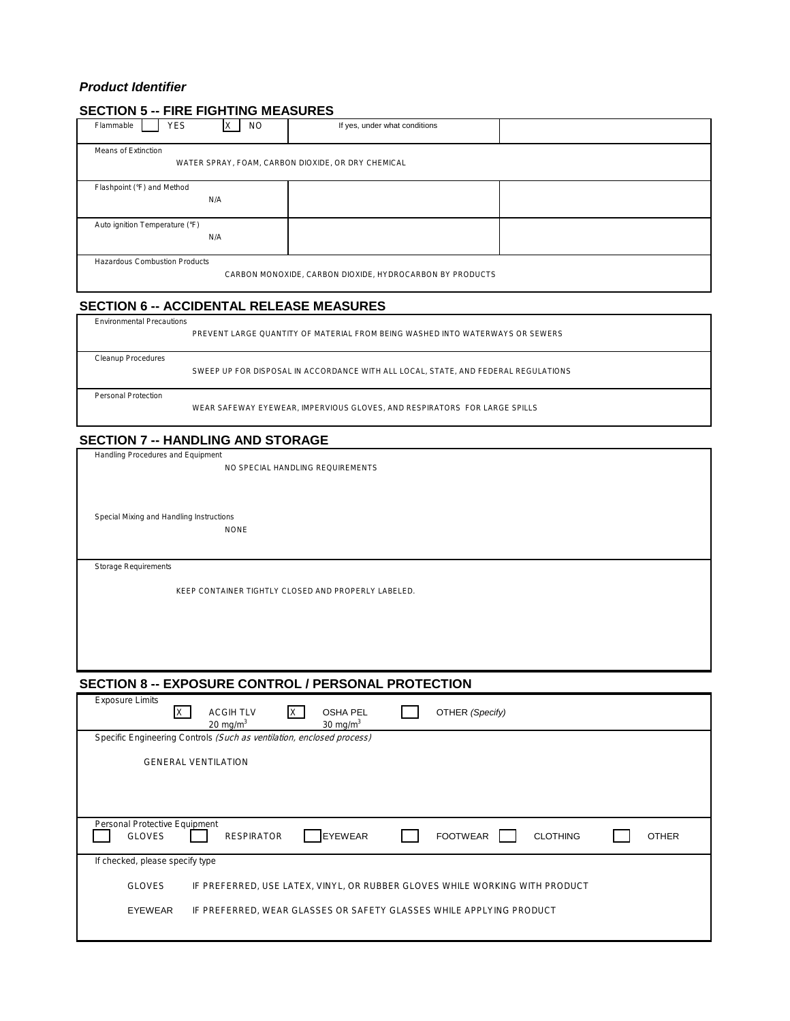### *Product Identifier*

### **SECTION 5 -- FIRE FIGHTING MEASURES**

| <b>YES</b><br>Flammable                                                                          |                                                    | <b>NO</b> | If yes, under what conditions |  |  |
|--------------------------------------------------------------------------------------------------|----------------------------------------------------|-----------|-------------------------------|--|--|
| Means of Extinction                                                                              | WATER SPRAY, FOAM, CARBON DIOXIDE, OR DRY CHEMICAL |           |                               |  |  |
| Flashpoint (°F) and Method                                                                       | N/A                                                |           |                               |  |  |
| Auto ignition Temperature (°F)<br>N/A                                                            |                                                    |           |                               |  |  |
| <b>Hazardous Combustion Products</b><br>CARBON MONOXIDE, CARBON DIOXIDE, HYDROCARBON BY PRODUCTS |                                                    |           |                               |  |  |

### **SECTION 6 -- ACCIDENTAL RELEASE MEASURES**

| <b>Environmental Precautions</b> | PREVENT LARGE OUANTITY OF MATERIAL FROM BEING WASHED INTO WATERWAYS OR SEWERS      |
|----------------------------------|------------------------------------------------------------------------------------|
| Cleanup Procedures               | SWEEP UP FOR DISPOSAL IN ACCORDANCE WITH ALL LOCAL. STATE, AND FEDERAL REGULATIONS |
| Personal Protection              | WEAR SAFEWAY EYEWEAR. IMPERVIOUS GLOVES, AND RESPIRATORS FOR LARGE SPILLS          |

### **SECTION 7 -- HANDLING AND STORAGE**

Handling Procedures and Equipment

NO SPECIAL HANDLING REQUIREMENTS

Special Mixing and Handling Instructions

NONE

Storage Requirements

Г

KEEP CONTAINER TIGHTLY CLOSED AND PROPERLY LABELED.

### **SECTION 8 -- EXPOSURE CONTROL / PERSONAL PROTECTION**

| <b>Exposure Limits</b>                         | <b>OSHA PEL</b><br>OTHER (Specify)<br><b>ACGIH TLV</b><br>X<br>20 mg/m $3$<br>30 mg/m $3$ |
|------------------------------------------------|-------------------------------------------------------------------------------------------|
|                                                | Specific Engineering Controls (Such as ventilation, enclosed process)                     |
|                                                | <b>GENERAL VENTILATION</b>                                                                |
|                                                |                                                                                           |
| Personal Protective Equipment<br><b>GLOVES</b> | <b>EYEWEAR</b><br><b>FOOTWEAR</b><br><b>CLOTHING</b><br><b>OTHER</b><br><b>RESPIRATOR</b> |
| If checked, please specify type                |                                                                                           |
| <b>GLOVES</b>                                  | IF PREFERRED, USE LATEX, VINYL, OR RUBBER GLOVES WHILE WORKING WITH PRODUCT               |
| <b>EYEWEAR</b>                                 | IF PREFERRED, WEAR GLASSES OR SAFETY GLASSES WHILE APPLYING PRODUCT                       |
|                                                |                                                                                           |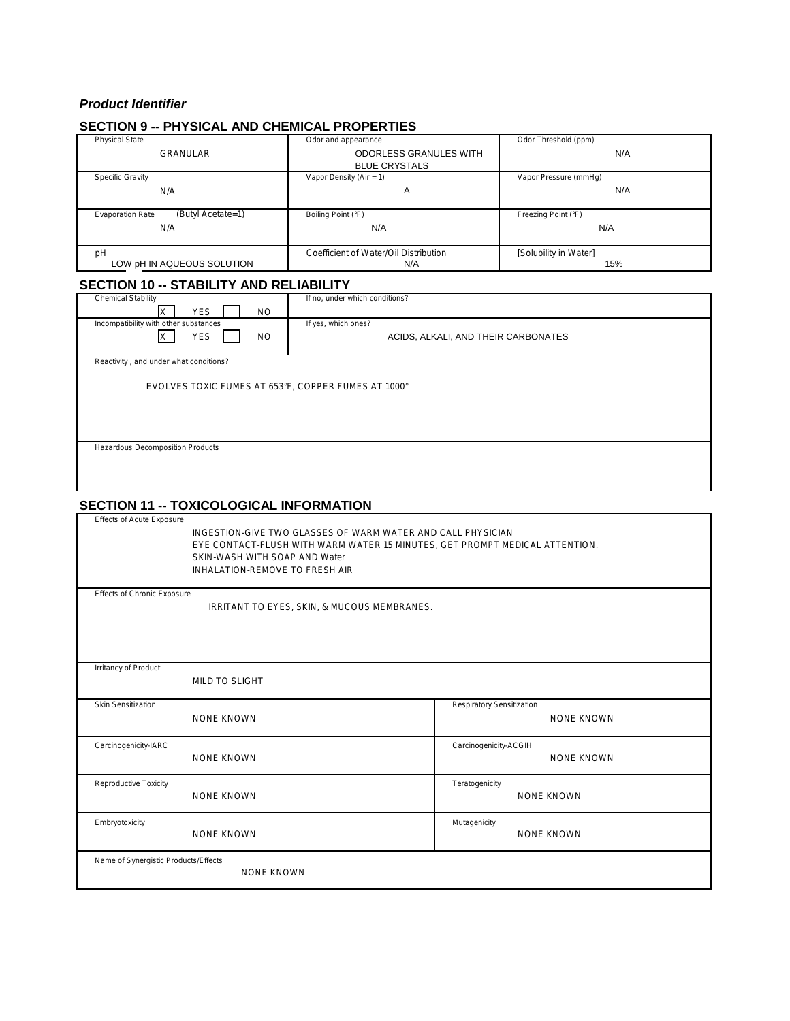### *Product Identifier*

### **SECTION 9 -- PHYSICAL AND CHEMICAL PROPERTIES**

| <b>Physical State</b>                        | Odor and appearance                   | Odor Threshold (ppm)  |
|----------------------------------------------|---------------------------------------|-----------------------|
| <b>GRANULAR</b>                              | <b>ODORLESS GRANULES WITH</b>         | N/A                   |
|                                              | <b>BLUE CRYSTALS</b>                  |                       |
| <b>Specific Gravity</b>                      | Vapor Density (Air = 1)               | Vapor Pressure (mmHg) |
| N/A                                          | A                                     | N/A                   |
|                                              |                                       |                       |
| (Butyl Acetate=1)<br><b>Evaporation Rate</b> | Boiling Point (°F)                    | Freezing Point (°F)   |
| N/A                                          | N/A                                   | N/A                   |
|                                              |                                       |                       |
| pH                                           | Coefficient of Water/Oil Distribution | [Solubility in Water] |
| LOW pH IN AQUEOUS SOLUTION                   | N/A                                   | 15%                   |

### **SECTION 10 -- STABILITY AND RELIABILITY**

| <b>Chemical Stability</b>                           | If no, under which conditions?      |
|-----------------------------------------------------|-------------------------------------|
| <b>YES</b><br><b>NO</b>                             |                                     |
| Incompatibility with other substances               | If yes, which ones?                 |
| <b>YES</b><br><b>NO</b>                             | ACIDS, ALKALI, AND THEIR CARBONATES |
|                                                     |                                     |
| Reactivity, and under what conditions?              |                                     |
|                                                     |                                     |
| EVOLVES TOXIC FUMES AT 653°F, COPPER FUMES AT 1000° |                                     |
|                                                     |                                     |
|                                                     |                                     |
|                                                     |                                     |
| Hazardous Decomposition Products                    |                                     |
|                                                     |                                     |
|                                                     |                                     |
|                                                     |                                     |

### **SECTION 11 -- TOXICOLOGICAL INFORMATION**

Effects of Acute Exposure

INGESTION-GIVE TWO GLASSES OF WARM WATER AND CALL PHYSICIAN EYE CONTACT-FLUSH WITH WARM WATER 15 MINUTES, GET PROMPT MEDICAL ATTENTION. SKIN-WASH WITH SOAP AND Water INHALATION-REMOVE TO FRESH AIR

| <b>Effects of Chronic Exposure</b> |
|------------------------------------|
|------------------------------------|

IRRITANT TO EYES, SKIN, & MUCOUS MEMBRANES.

| Irritancy of Product                 |                   |                                   |
|--------------------------------------|-------------------|-----------------------------------|
|                                      | MILD TO SLIGHT    |                                   |
| <b>Skin Sensitization</b>            |                   | Respiratory Sensitization         |
|                                      | <b>NONE KNOWN</b> | <b>NONE KNOWN</b>                 |
|                                      |                   |                                   |
| Carcinogenicity-IARC                 |                   | Carcinogenicity-ACGIH             |
|                                      | <b>NONE KNOWN</b> | <b>NONE KNOWN</b>                 |
| Reproductive Toxicity                |                   | Teratogenicity                    |
|                                      | <b>NONE KNOWN</b> | <b>NONE KNOWN</b>                 |
|                                      |                   |                                   |
| Embryotoxicity                       | <b>NONE KNOWN</b> | Mutagenicity<br><b>NONE KNOWN</b> |
|                                      |                   |                                   |
| Name of Synergistic Products/Effects |                   |                                   |
|                                      | <b>NONE KNOWN</b> |                                   |
|                                      |                   |                                   |